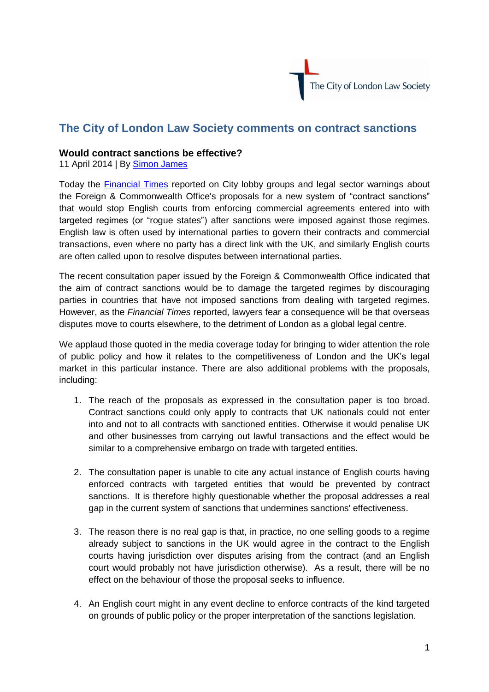

## **The City of London Law Society comments on contract sanctions**

## **Would contract sanctions be effective?**

11 April 2014 | By [Simon James](http://www.citysolicitors.org.uk/index.php?option=com_content&view=category&id=144&Itemid=469)

Today the [Financial Times](https://www.google.co.uk/url?sa=t&rct=j&q=&esrc=s&source=web&cd=4&cad=rja&uact=8&ved=0CEAQFjAD&url=http%3A%2F%2Fwww.ft.com%2Fcms%2Fs%2F0%2F6e430a90-c0a9-11e3-8578-00144feabdc0.html&ei=sQhIU6fcO6SN7Qb68YDIDg&usg=AFQjCNFVx-0xC2e91nXtv905JYDetj-1oQ&bvm=bv.645) reported on City lobby groups and legal sector warnings about the Foreign & Commonwealth Office's proposals for a new system of "contract sanctions" that would stop English courts from enforcing commercial agreements entered into with targeted regimes (or "rogue states") after sanctions were imposed against those regimes. English law is often used by international parties to govern their contracts and commercial transactions, even where no party has a direct link with the UK, and similarly English courts are often called upon to resolve disputes between international parties.

The recent consultation paper issued by the Foreign & Commonwealth Office indicated that the aim of contract sanctions would be to damage the targeted regimes by discouraging parties in countries that have not imposed sanctions from dealing with targeted regimes. However, as the *Financial Times* reported, lawyers fear a consequence will be that overseas disputes move to courts elsewhere, to the detriment of London as a global legal centre.

We applaud those quoted in the media coverage today for bringing to wider attention the role of public policy and how it relates to the competitiveness of London and the UK's legal market in this particular instance. There are also additional problems with the proposals, including:

- 1. The reach of the proposals as expressed in the consultation paper is too broad. Contract sanctions could only apply to contracts that UK nationals could not enter into and not to all contracts with sanctioned entities. Otherwise it would penalise UK and other businesses from carrying out lawful transactions and the effect would be similar to a comprehensive embargo on trade with targeted entities.
- 2. The consultation paper is unable to cite any actual instance of English courts having enforced contracts with targeted entities that would be prevented by contract sanctions. It is therefore highly questionable whether the proposal addresses a real gap in the current system of sanctions that undermines sanctions' effectiveness.
- 3. The reason there is no real gap is that, in practice, no one selling goods to a regime already subject to sanctions in the UK would agree in the contract to the English courts having jurisdiction over disputes arising from the contract (and an English court would probably not have jurisdiction otherwise). As a result, there will be no effect on the behaviour of those the proposal seeks to influence.
- 4. An English court might in any event decline to enforce contracts of the kind targeted on grounds of public policy or the proper interpretation of the sanctions legislation.